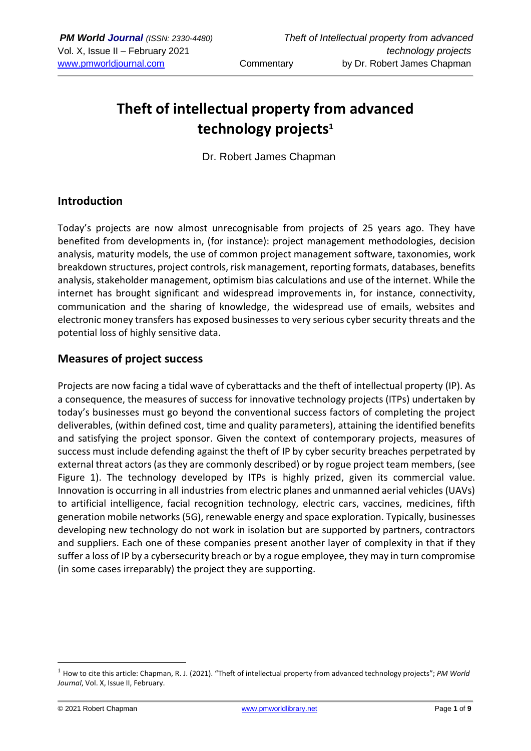# **Theft of intellectual property from advanced technology projects<sup>1</sup>**

Dr. Robert James Chapman

## **Introduction**

Today's projects are now almost unrecognisable from projects of 25 years ago. They have benefited from developments in, (for instance): project management methodologies, decision analysis, maturity models, the use of common project management software, taxonomies, work breakdown structures, project controls, risk management, reporting formats, databases, benefits analysis, stakeholder management, optimism bias calculations and use of the internet. While the internet has brought significant and widespread improvements in, for instance, connectivity, communication and the sharing of knowledge, the widespread use of emails, websites and electronic money transfers has exposed businesses to very serious cyber security threats and the potential loss of highly sensitive data.

#### **Measures of project success**

Projects are now facing a tidal wave of cyberattacks and the theft of intellectual property (IP). As a consequence, the measures of success for innovative technology projects (ITPs) undertaken by today's businesses must go beyond the conventional success factors of completing the project deliverables, (within defined cost, time and quality parameters), attaining the identified benefits and satisfying the project sponsor. Given the context of contemporary projects, measures of success must include defending against the theft of IP by cyber security breaches perpetrated by external threat actors (as they are commonly described) or by rogue project team members, (see Figure 1). The technology developed by ITPs is highly prized, given its commercial value. Innovation is occurring in all industries from electric planes and unmanned aerial vehicles (UAVs) to artificial intelligence, facial recognition technology, electric cars, vaccines, medicines, fifth generation mobile networks (5G), renewable energy and space exploration. Typically, businesses developing new technology do not work in isolation but are supported by partners, contractors and suppliers. Each one of these companies present another layer of complexity in that if they suffer a loss of IP by a cybersecurity breach or by a rogue employee, they may in turn compromise (in some cases irreparably) the project they are supporting.

<sup>1</sup> How to cite this article: Chapman, R. J. (2021). "Theft of intellectual property from advanced technology projects"; *PM World Journal*, Vol. X, Issue II, February.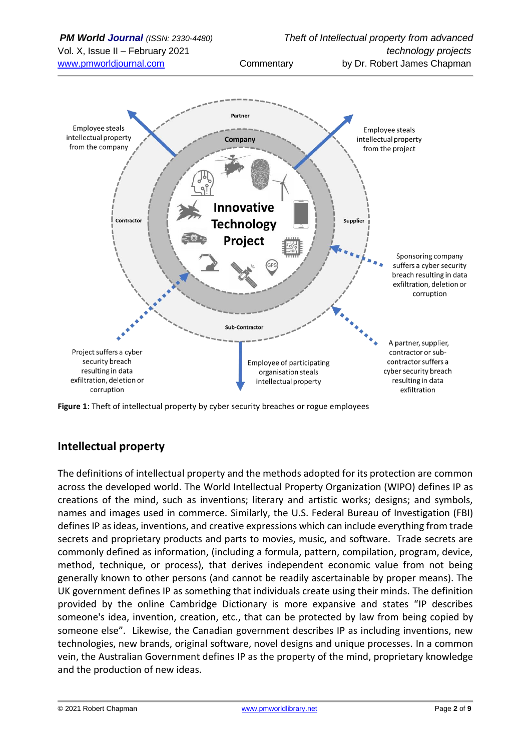

**Figure 1**: Theft of intellectual property by cyber security breaches or rogue employees

## **Intellectual property**

The definitions of intellectual property and the methods adopted for its protection are common across the developed world. The World Intellectual Property Organization (WIPO) defines IP as creations of the mind, such as inventions; literary and artistic works; designs; and symbols, names and images used in commerce. Similarly, the U.S. Federal Bureau of Investigation (FBI) defines IP as ideas, inventions, and creative expressions which can include everything from trade secrets and proprietary products and parts to movies, music, and software. Trade secrets are commonly defined as information, (including a formula, pattern, compilation, program, device, method, technique, or process), that derives independent economic value from not being generally known to other persons (and cannot be readily ascertainable by proper means). The UK government defines IP as something that individuals create using their minds. The definition provided by the online Cambridge Dictionary is more expansive and states "IP describes someone's idea, invention, creation, etc., that can be protected by law from being copied by someone else". Likewise, the Canadian government describes IP as including inventions, new technologies, new brands, original software, novel designs and unique processes. In a common vein, the Australian Government defines IP as the property of the mind, proprietary knowledge and the production of new ideas.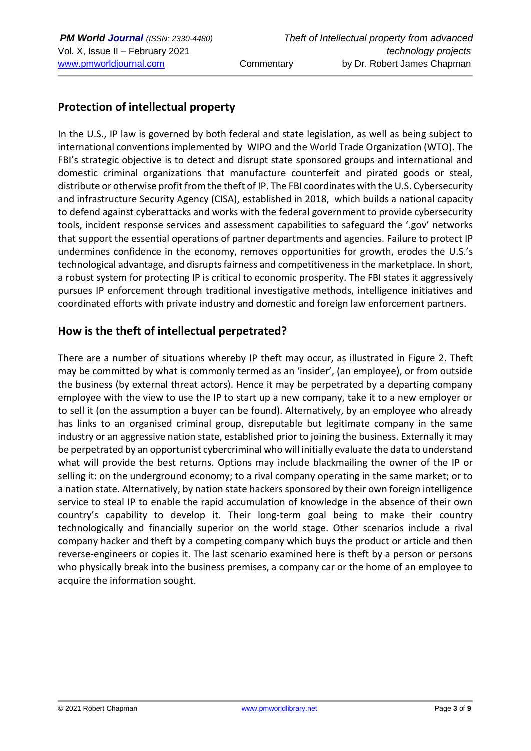# **Protection of intellectual property**

In the U.S., IP law is governed by both federal and state legislation, as well as being subject to international conventions implemented by [WIPO](http://www.wipo.org/) and the [World Trade Organization \(WTO\).](http://www.wto.org/) The FBI's strategic objective is to detect and disrupt state sponsored groups and international and domestic criminal organizations that manufacture counterfeit and pirated goods or steal, distribute or otherwise profit from the theft of IP. The FBI coordinates with the U.S. Cybersecurity and infrastructure Security Agency (CISA), established in 2018, which builds a national capacity to defend against cyberattacks and works with the federal government to provide cybersecurity tools, incident response services and assessment capabilities to safeguard the '.gov' networks that support the essential operations of partner departments and agencies. Failure to protect IP undermines confidence in the economy, removes opportunities for growth, erodes the U.S.'s technological advantage, and disrupts fairness and competitiveness in the marketplace. In short, a robust system for protecting IP is critical to economic prosperity. The FBI states it aggressively pursues IP enforcement through traditional investigative methods, intelligence initiatives and coordinated efforts with private industry and domestic and foreign law enforcement partners.

# **How is the theft of intellectual perpetrated?**

There are a number of situations whereby IP theft may occur, as illustrated in Figure 2. Theft may be committed by what is commonly termed as an 'insider', (an employee), or from outside the business (by external threat actors). Hence it may be perpetrated by a departing company employee with the view to use the IP to start up a new company, take it to a new employer or to sell it (on the assumption a buyer can be found). Alternatively, by an employee who already has links to an organised criminal group, disreputable but legitimate company in the same industry or an aggressive nation state, established prior to joining the business. Externally it may be perpetrated by an opportunist cybercriminal who will initially evaluate the data to understand what will provide the best returns. Options may include blackmailing the owner of the IP or selling it: on the underground economy; to a rival company operating in the same market; or to a nation state. Alternatively, by nation state hackers sponsored by their own foreign intelligence service to steal IP to enable the rapid accumulation of knowledge in the absence of their own country's capability to develop it. Their long-term goal being to make their country technologically and financially superior on the world stage. Other scenarios include a rival company hacker and theft by a competing company which buys the product or article and then reverse-engineers or copies it. The last scenario examined here is theft by a person or persons who physically break into the business premises, a company car or the home of an employee to acquire the information sought.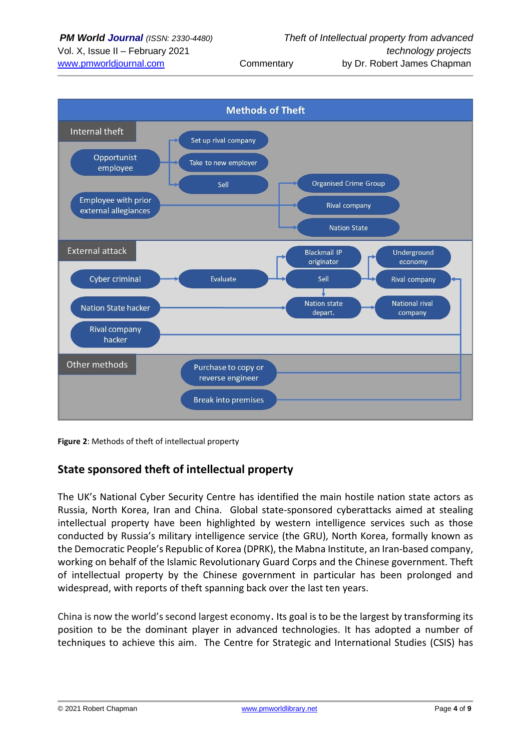

**Figure 2**: Methods of theft of intellectual property

## **State sponsored theft of intellectual property**

The UK's National Cyber Security Centre has identified the main hostile nation state actors as Russia, North Korea, Iran and China. Global state-sponsored cyberattacks aimed at stealing intellectual property have been highlighted by western intelligence services such as those conducted by Russia's military intelligence service (the GRU), North Korea, formally known as the Democratic People's Republic of Korea (DPRK), the Mabna Institute, an Iran-based company, working on behalf of the Islamic Revolutionary Guard Corps and the Chinese government. Theft of intellectual property by the Chinese government in particular has been prolonged and widespread, with reports of theft spanning back over the last ten years.

China is now the world's second largest economy. Its goal is to be the largest by transforming its position to be the dominant player in advanced technologies. It has adopted a number of techniques to achieve this aim. The Centre for Strategic and International Studies (CSIS) has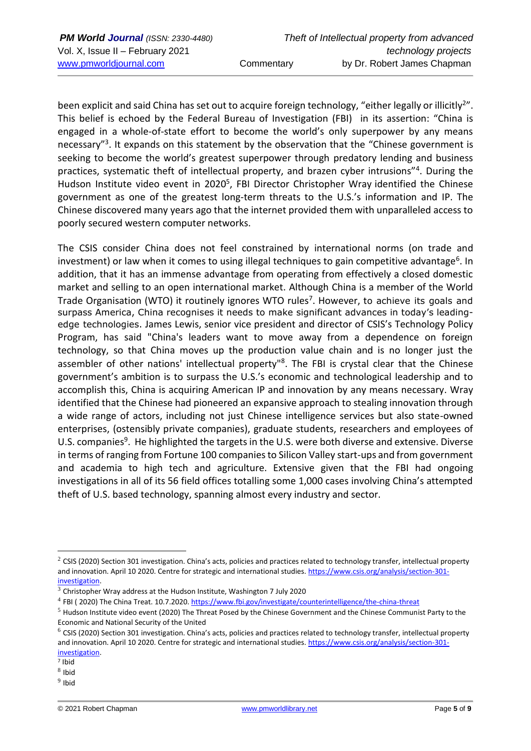been explicit and said China has set out to acquire foreign technology, "either legally or illicitly<sup>2</sup>". This belief is echoed by the Federal Bureau of Investigation (FBI) in its assertion: "China is engaged in a whole-of-state effort to become the world's only superpower by any means necessary"<sup>3</sup>. It expands on this statement by the observation that the "Chinese government is seeking to become the world's greatest superpower through predatory lending and business practices, systematic theft of intellectual property, and brazen cyber intrusions"<sup>4</sup> . During the Hudson Institute video event in 2020<sup>5</sup>, FBI Director Christopher Wray identified the Chinese government as one of the greatest long-term threats to the U.S.'s information and IP. The Chinese discovered many years ago that the internet provided them with unparalleled access to poorly secured western computer networks.

The CSIS consider China does not feel constrained by international norms (on trade and investment) or law when it comes to using illegal techniques to gain competitive advantage<sup>6</sup>. In addition, that it has an immense advantage from operating from effectively a closed domestic market and selling to an open international market. Although China is a member of the World Trade Organisation (WTO) it routinely ignores WTO rules<sup>7</sup>. However, to achieve its goals and surpass America, China recognises it needs to make significant advances in today's leadingedge technologies. James Lewis, senior vice president and director of CSIS's Technology Policy Program, has said "China's leaders want to move away from a dependence on foreign technology, so that China moves up the production value chain and is no longer just the assembler of other nations' intellectual property<sup>"8</sup>. The FBI is crystal clear that the Chinese government's ambition is to surpass the U.S.'s economic and technological leadership and to accomplish this, China is acquiring American IP and innovation by any means necessary. Wray identified that the Chinese had pioneered an expansive approach to stealing innovation through a wide range of actors, including not just Chinese intelligence services but also state-owned enterprises, (ostensibly private companies), graduate students, researchers and employees of U.S. companies<sup>9</sup>. He highlighted the targets in the U.S. were both diverse and extensive. Diverse in terms of ranging from Fortune 100 companies to Silicon Valley start-ups and from government and academia to high tech and agriculture. Extensive given that the FBI had ongoing investigations in all of its 56 field offices totalling some 1,000 cases involving China's attempted theft of U.S. based technology, spanning almost every industry and sector.

 $2$  CSIS (2020) Section 301 investigation. China's acts, policies and practices related to technology transfer, intellectual property and innovation. April 10 2020. Centre for strategic and international studies. [https://www.csis.org/analysis/section-301](https://www.csis.org/analysis/section-301-investigation) [investigation.](https://www.csis.org/analysis/section-301-investigation)

 $3$  Christopher Wray address at the Hudson Institute, Washington 7 July 2020

<sup>&</sup>lt;sup>4</sup> FBI (2020) The China Treat. 10.7.2020[. https://www.fbi.gov/investigate/counterintelligence/the-china-threat](https://www.fbi.gov/investigate/counterintelligence/the-china-threat)

 $<sup>5</sup>$  Hudson Institute video event (2020) The Threat Posed by the Chinese Government and the Chinese Communist Party to the</sup> Economic and National Security of the United

 $6$  CSIS (2020) Section 301 investigation. China's acts, policies and practices related to technology transfer, intellectual property and innovation. April 10 2020. Centre for strategic and international studies. [https://www.csis.org/analysis/section-301](https://www.csis.org/analysis/section-301-investigation) [investigation.](https://www.csis.org/analysis/section-301-investigation)

<sup>7</sup> Ibid

 $8$  Ibid

<sup>&</sup>lt;sup>9</sup> Ibid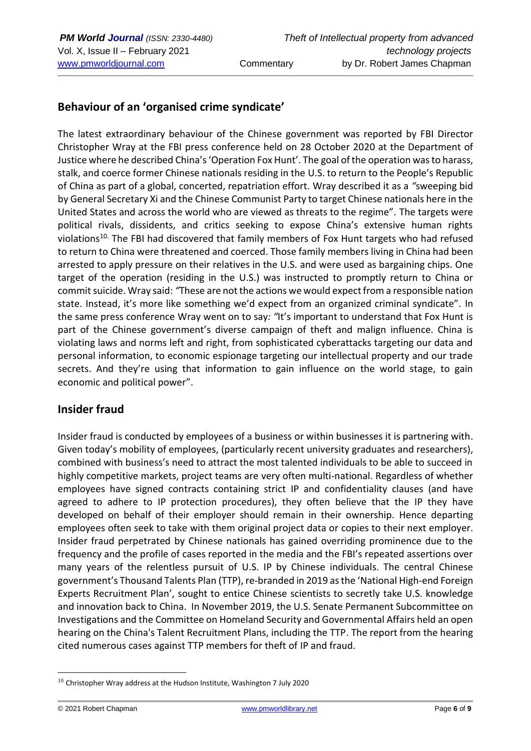# **Behaviour of an 'organised crime syndicate'**

The latest extraordinary behaviour of the Chinese government was reported by FBI Director Christopher Wray at the FBI press conference held on 28 October 2020 at the Department of Justice where he described China's 'Operation Fox Hunt'. The goal of the operation was to harass, stalk, and coerce former Chinese nationals residing in the U.S. to return to the People's Republic of China as part of a global, concerted, repatriation effort. Wray described it as a *"*sweeping bid by General Secretary Xi and the Chinese Communist Party to target Chinese nationals here in the United States and across the world who are viewed as threats to the regime". The targets were political rivals, dissidents, and critics seeking to expose China's extensive human rights violations<sup>10.</sup> The FBI had discovered that family members of Fox Hunt targets who had refused to return to China were threatened and coerced. Those family members living in China had been arrested to apply pressure on their relatives in the U.S. and were used as bargaining chips. One target of the operation (residing in the U.S.) was instructed to promptly return to China or commit suicide. Wray said: *"*These are not the actions we would expect from a responsible nation state. Instead, it's more like something we'd expect from an organized criminal syndicate". In the same press conference Wray went on to say*: "*It's important to understand that Fox Hunt is part of the Chinese government's diverse campaign of theft and malign influence. China is violating laws and norms left and right, from sophisticated cyberattacks targeting our data and personal information, to economic espionage targeting our intellectual property and our trade secrets. And they're using that information to gain influence on the world stage, to gain economic and political power".

## **Insider fraud**

Insider fraud is conducted by employees of a business or within businesses it is partnering with. Given today's mobility of employees, (particularly recent university graduates and researchers), combined with business's need to attract the most talented individuals to be able to succeed in highly competitive markets, project teams are very often multi-national. Regardless of whether employees have signed contracts containing strict IP and confidentiality clauses (and have agreed to adhere to IP protection procedures), they often believe that the IP they have developed on behalf of their employer should remain in their ownership. Hence departing employees often seek to take with them original project data or copies to their next employer. Insider fraud perpetrated by Chinese nationals has gained overriding prominence due to the frequency and the profile of cases reported in the media and the FBI's repeated assertions over many years of the relentless pursuit of U.S. IP by Chinese individuals. The central Chinese government's Thousand Talents Plan (TTP), re-branded in 2019 as the 'National High-end Foreign Experts Recruitment Plan', sought to entice Chinese scientists to secretly take U.S. knowledge and innovation back to China. In November 2019, the U.S. Senate Permanent Subcommittee on Investigations and the Committee on Homeland Security and Governmental Affairs held an open hearing on the China's Talent Recruitment Plans, including the TTP. The report from the hearing cited numerous cases against TTP members for theft of IP and fraud.

 $10$  Christopher Wray address at the Hudson Institute, Washington 7 July 2020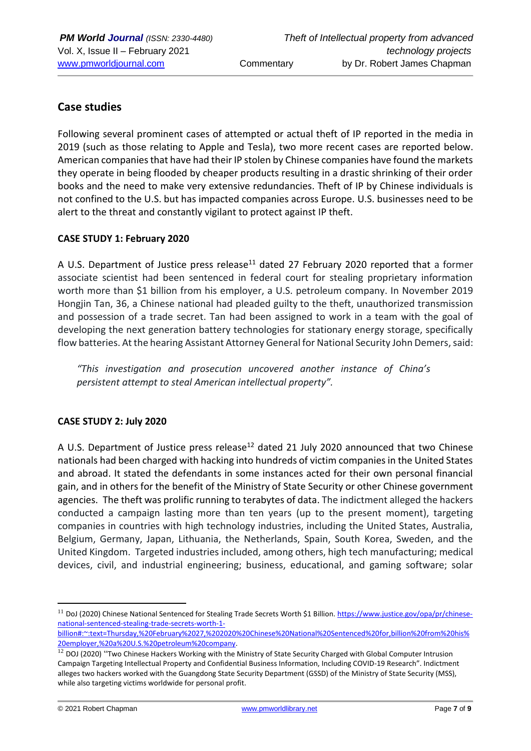# **Case studies**

Following several prominent cases of attempted or actual theft of IP reported in the media in 2019 (such as those relating to Apple and Tesla), two more recent cases are reported below. American companies that have had their IP stolen by Chinese companies have found the markets they operate in being flooded by cheaper products resulting in a drastic shrinking of their order books and the need to make very extensive redundancies. Theft of IP by Chinese individuals is not confined to the U.S. but has impacted companies across Europe. U.S. businesses need to be alert to the threat and constantly vigilant to protect against IP theft.

#### **CASE STUDY 1: February 2020**

A U.S. Department of Justice press release<sup>11</sup> dated 27 February 2020 reported that a former associate scientist had been sentenced in federal court for stealing proprietary information worth more than \$1 billion from his employer, a U.S. petroleum company. In November 2019 Hongjin Tan, 36, a Chinese national had [pleaded guilty](https://www.justice.gov/opa/pr/chinese-national-pleads-guilty-committing-theft-trade-secrets) to the theft, unauthorized transmission and possession of a trade secret. Tan had been assigned to work in a team with the goal of developing the next generation battery technologies for stationary energy storage, specifically flow batteries. At the hearing Assistant Attorney General for National Security John Demers, said:

*"This investigation and prosecution uncovered another instance of China's persistent attempt to steal American intellectual property".*

#### **CASE STUDY 2: July 2020**

A U.S. Department of Justice press release<sup>12</sup> dated 21 July 2020 announced that two Chinese nationals had been charged with hacking into hundreds of victim companies in the United States and abroad. It stated the defendants in some instances acted for their own personal financial gain, and in others for the benefit of the Ministry of State Security or other Chinese government agencies. The theft was prolific running to terabytes of data. The indictment alleged the hackers conducted a campaign lasting more than ten years (up to the present moment), targeting companies in countries with high technology industries, including the United States, Australia, Belgium, Germany, Japan, Lithuania, the Netherlands, Spain, South Korea, Sweden, and the United Kingdom. Targeted industries included, among others, high tech manufacturing; medical devices, civil, and industrial engineering; business, educational, and gaming software; solar

<sup>&</sup>lt;sup>11</sup> DoJ (2020) Chinese National Sentenced for Stealing Trade Secrets Worth \$1 Billion. [https://www.justice.gov/opa/pr/chinese](https://www.justice.gov/opa/pr/chinese-national-sentenced-stealing-trade-secrets-worth-1-billion#:~:text=Thursday,%20February%2027,%202020%20Chinese%20National%20Sentenced%20for,billion%20from%20his%20employer,%20a%20U.S.%20petroleum%20company)[national-sentenced-stealing-trade-secrets-worth-1-](https://www.justice.gov/opa/pr/chinese-national-sentenced-stealing-trade-secrets-worth-1-billion#:~:text=Thursday,%20February%2027,%202020%20Chinese%20National%20Sentenced%20for,billion%20from%20his%20employer,%20a%20U.S.%20petroleum%20company)

[billion#:~:text=Thursday,%20February%2027,%202020%20Chinese%20National%20Sentenced%20for,billion%20from%20his%](https://www.justice.gov/opa/pr/chinese-national-sentenced-stealing-trade-secrets-worth-1-billion#:~:text=Thursday,%20February%2027,%202020%20Chinese%20National%20Sentenced%20for,billion%20from%20his%20employer,%20a%20U.S.%20petroleum%20company) [20employer,%20a%20U.S.%20petroleum%20company.](https://www.justice.gov/opa/pr/chinese-national-sentenced-stealing-trade-secrets-worth-1-billion#:~:text=Thursday,%20February%2027,%202020%20Chinese%20National%20Sentenced%20for,billion%20from%20his%20employer,%20a%20U.S.%20petroleum%20company)

<sup>&</sup>lt;sup>12</sup> DOJ (2020) "Two Chinese Hackers Working with the Ministry of State Security Charged with Global Computer Intrusion Campaign Targeting Intellectual Property and Confidential Business Information, Including COVID-19 Research". Indictment alleges two hackers worked with the Guangdong State Security Department (GSSD) of the Ministry of State Security (MSS), while also targeting victims worldwide for personal profit.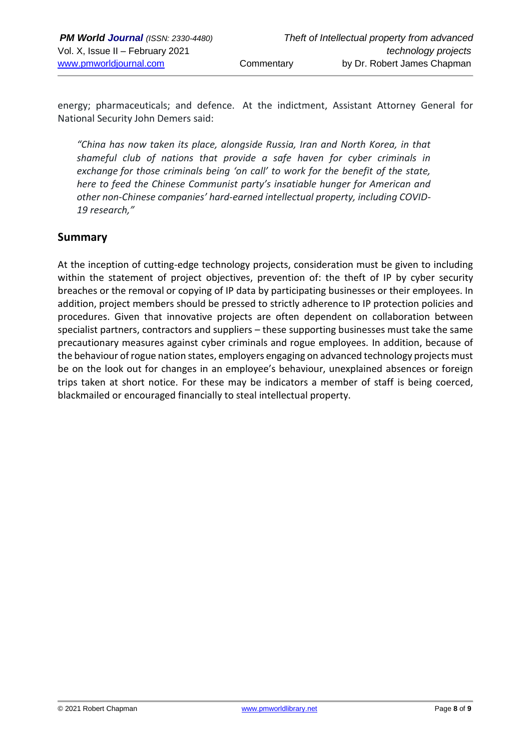energy; pharmaceuticals; and defence. At the indictment, Assistant Attorney General for National Security John Demers said:

*"China has now taken its place, alongside Russia, Iran and North Korea, in that shameful club of nations that provide a safe haven for cyber criminals in exchange for those criminals being 'on call' to work for the benefit of the state, here to feed the Chinese Communist party's insatiable hunger for American and other non-Chinese companies' hard-earned intellectual property, including COVID-19 research,"*

#### **Summary**

At the inception of cutting-edge technology projects, consideration must be given to including within the statement of project objectives, prevention of: the theft of IP by cyber security breaches or the removal or copying of IP data by participating businesses or their employees. In addition, project members should be pressed to strictly adherence to IP protection policies and procedures. Given that innovative projects are often dependent on collaboration between specialist partners, contractors and suppliers – these supporting businesses must take the same precautionary measures against cyber criminals and rogue employees. In addition, because of the behaviour of rogue nation states, employers engaging on advanced technology projects must be on the look out for changes in an employee's behaviour, unexplained absences or foreign trips taken at short notice. For these may be indicators a member of staff is being coerced, blackmailed or encouraged financially to steal intellectual property.